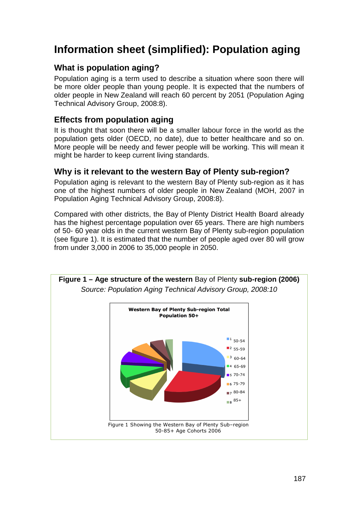# **Information sheet (simplified): Population aging**

## **What is population aging?**

Population aging is a term used to describe a situation where soon there will be more older people than young people. It is expected that the numbers of older people in New Zealand will reach 60 percent by 2051 (Population Aging Technical Advisory Group, 2008:8).

### **Effects from population aging**

It is thought that soon there will be a smaller labour force in the world as the population gets older (OECD, no date), due to better healthcare and so on. More people will be needy and fewer people will be working. This will mean it might be harder to keep current living standards.

#### **Why is it relevant to the western Bay of Plenty sub-region?**

Population aging is relevant to the western Bay of Plenty sub-region as it has one of the highest numbers of older people in New Zealand (MOH, 2007 in Population Aging Technical Advisory Group, 2008:8).

Compared with other districts, the Bay of Plenty District Health Board already has the highest percentage population over 65 years. There are high numbers of 50- 60 year olds in the current western Bay of Plenty sub-region population (see figure 1). It is estimated that the number of people aged over 80 will grow from under 3,000 in 2006 to 35,000 people in 2050.